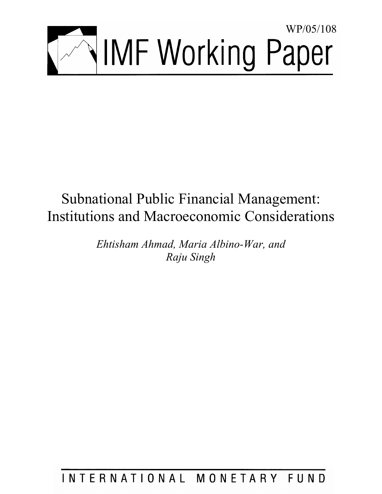

# Subnational Public Financial Management: Institutions and Macroeconomic Considerations

*Ehtisham Ahmad, Maria Albino-War, and Raju Singh* 

## INTERNATIONAL MONETARY FUND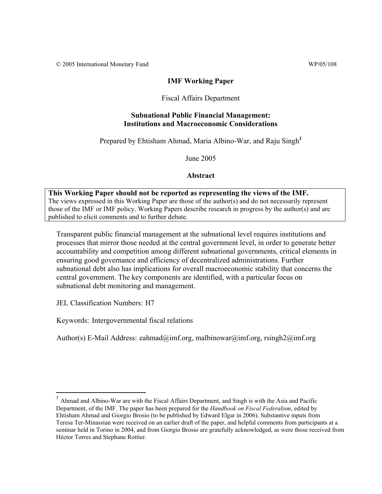© 2005 International Monetary Fund WP/05/108

#### **IMF Working Paper**

#### Fiscal Affairs Department

#### **Subnational Public Financial Management: Institutions and Macroeconomic Considerations**

Prepared by Ehtisham Ahmad, Maria Albino-War, and Raju Singh**<sup>1</sup>**

June 2005

#### **Abstract**

**This Working Paper should not be reported as representing the views of the IMF.** The views expressed in this Working Paper are those of the author(s) and do not necessarily represent those of the IMF or IMF policy. Working Papers describe research in progress by the author(s) and are published to elicit comments and to further debate.

Transparent public financial management at the subnational level requires institutions and processes that mirror those needed at the central government level, in order to generate better accountability and competition among different subnational governments, critical elements in ensuring good governance and efficiency of decentralized administrations. Further subnational debt also has implications for overall macroeconomic stability that concerns the central government. The key components are identified, with a particular focus on subnational debt monitoring and management.

JEL Classification Numbers: H7

 $\overline{a}$ 

Keywords: Intergovernmental fiscal relations

Author(s) E-Mail Address: eahmad@imf.org, malbinowar@imf.org, rsingh2@imf.org

<sup>&</sup>lt;sup>1</sup> Ahmad and Albino-War are with the Fiscal Affairs Department, and Singh is with the Asia and Pacific Department, of the IMF. The paper has been prepared for the *Handbook on Fiscal Federalism*, edited by Ehtisham Ahmad and Giorgio Brosio (to be published by Edward Elgar in 2006). Substantive inputs from Teresa Ter-Minassian were received on an earlier draft of the paper, and helpful comments from participants at a seminar held in Torino in 2004, and from Giorgio Brosio are gratefully acknowledged, as were those received from Héctor Torres and Stephane Rottier.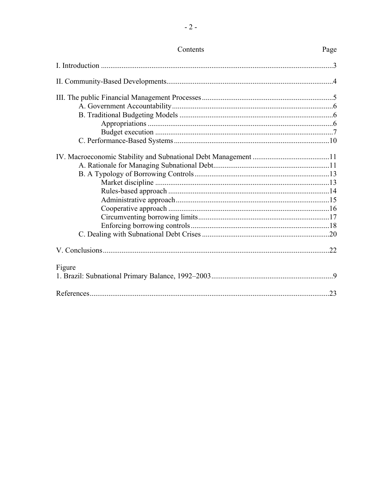| Figure |  |
|--------|--|
|        |  |
|        |  |

## Contents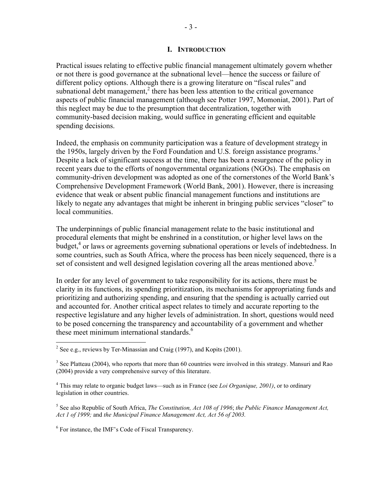#### **I. INTRODUCTION**

Practical issues relating to effective public financial management ultimately govern whether or not there is good governance at the subnational level—hence the success or failure of different policy options. Although there is a growing literature on "fiscal rules" and subnational debt management, $\frac{2}{3}$  there has been less attention to the critical governance aspects of public financial management (although see Potter 1997, Momoniat, 2001). Part of this neglect may be due to the presumption that decentralization, together with community-based decision making, would suffice in generating efficient and equitable spending decisions.

Indeed, the emphasis on community participation was a feature of development strategy in the 1950s, largely driven by the Ford Foundation and U.S. foreign assistance programs.<sup>3</sup> Despite a lack of significant success at the time, there has been a resurgence of the policy in recent years due to the efforts of nongovernmental organizations (NGOs). The emphasis on community-driven development was adopted as one of the cornerstones of the World Bank's Comprehensive Development Framework (World Bank, 2001). However, there is increasing evidence that weak or absent public financial management functions and institutions are likely to negate any advantages that might be inherent in bringing public services "closer" to local communities.

The underpinnings of public financial management relate to the basic institutional and procedural elements that might be enshrined in a constitution, or higher level laws on the budget,<sup>4</sup> or laws or agreements governing subnational operations or levels of indebtedness. In some countries, such as South Africa, where the process has been nicely sequenced, there is a set of consistent and well designed legislation covering all the areas mentioned above.<sup>5</sup>

In order for any level of government to take responsibility for its actions, there must be clarity in its functions, its spending prioritization, its mechanisms for appropriating funds and prioritizing and authorizing spending, and ensuring that the spending is actually carried out and accounted for. Another critical aspect relates to timely and accurate reporting to the respective legislature and any higher levels of administration. In short, questions would need to be posed concerning the transparency and accountability of a government and whether these meet minimum international standards. $6$ 

6 For instance, the IMF's Code of Fiscal Transparency.

<sup>&</sup>lt;sup>2</sup> See e.g., reviews by Ter-Minassian and Craig (1997), and Kopits (2001).

 $3$  See Platteau (2004), who reports that more than 60 countries were involved in this strategy. Mansuri and Rao (2004) provide a very comprehensive survey of this literature.

<sup>4</sup> This may relate to organic budget laws—such as in France (see *Loi Organique, 2001)*, or to ordinary legislation in other countries.

<sup>5</sup> See also Republic of South Africa, *The Constitution, Act 108 of 1996*; *the Public Finance Management Act, Act 1 of 1999;* and *the Municipal Finance Management Act, Act 56 of 2003.*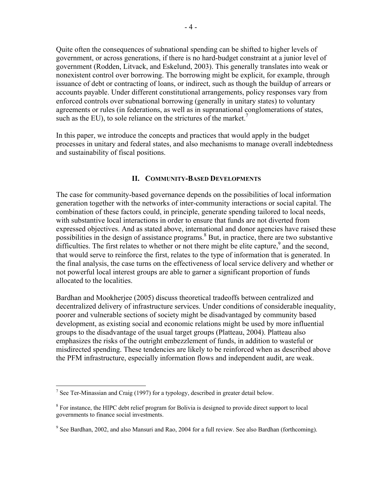Quite often the consequences of subnational spending can be shifted to higher levels of government, or across generations, if there is no hard-budget constraint at a junior level of government (Rodden, Litvack, and Eskelund, 2003). This generally translates into weak or nonexistent control over borrowing. The borrowing might be explicit, for example, through issuance of debt or contracting of loans, or indirect, such as though the buildup of arrears or accounts payable. Under different constitutional arrangements, policy responses vary from enforced controls over subnational borrowing (generally in unitary states) to voluntary agreements or rules (in federations, as well as in supranational conglomerations of states, such as the EU), to sole reliance on the strictures of the market.<sup>7</sup>

In this paper, we introduce the concepts and practices that would apply in the budget processes in unitary and federal states, and also mechanisms to manage overall indebtedness and sustainability of fiscal positions.

#### **II. COMMUNITY-BASED DEVELOPMENTS**

The case for community-based governance depends on the possibilities of local information generation together with the networks of inter-community interactions or social capital. The combination of these factors could, in principle, generate spending tailored to local needs, with substantive local interactions in order to ensure that funds are not diverted from expressed objectives. And as stated above, international and donor agencies have raised these possibilities in the design of assistance programs.<sup>8</sup> But, in practice, there are two substantive difficulties. The first relates to whether or not there might be elite capture, $9$  and the second, that would serve to reinforce the first, relates to the type of information that is generated. In the final analysis, the case turns on the effectiveness of local service delivery and whether or not powerful local interest groups are able to garner a significant proportion of funds allocated to the localities.

Bardhan and Mookherjee (2005) discuss theoretical tradeoffs between centralized and decentralized delivery of infrastructure services. Under conditions of considerable inequality, poorer and vulnerable sections of society might be disadvantaged by community based development, as existing social and economic relations might be used by more influential groups to the disadvantage of the usual target groups (Platteau, 2004). Platteau also emphasizes the risks of the outright embezzlement of funds, in addition to wasteful or misdirected spending. These tendencies are likely to be reinforced when as described above the PFM infrastructure, especially information flows and independent audit, are weak.

 $\frac{1}{7}$  See Ter-Minassian and Craig (1997) for a typology, described in greater detail below.

<sup>&</sup>lt;sup>8</sup> For instance, the HIPC debt relief program for Bolivia is designed to provide direct support to local governments to finance social investments.

<sup>&</sup>lt;sup>9</sup> See Bardhan, 2002, and also Mansuri and Rao, 2004 for a full review. See also Bardhan (forthcoming).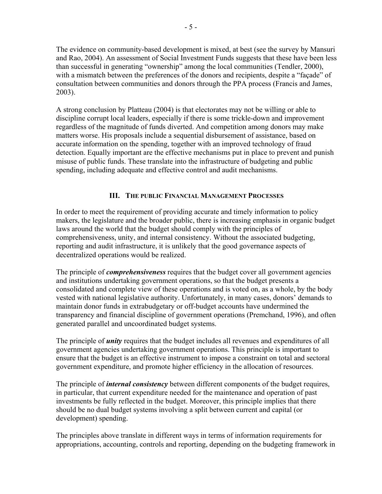The evidence on community-based development is mixed, at best (see the survey by Mansuri and Rao, 2004). An assessment of Social Investment Funds suggests that these have been less than successful in generating "ownership" among the local communities (Tendler, 2000), with a mismatch between the preferences of the donors and recipients, despite a "façade" of consultation between communities and donors through the PPA process (Francis and James, 2003).

A strong conclusion by Platteau (2004) is that electorates may not be willing or able to discipline corrupt local leaders, especially if there is some trickle-down and improvement regardless of the magnitude of funds diverted. And competition among donors may make matters worse. His proposals include a sequential disbursement of assistance, based on accurate information on the spending, together with an improved technology of fraud detection. Equally important are the effective mechanisms put in place to prevent and punish misuse of public funds. These translate into the infrastructure of budgeting and public spending, including adequate and effective control and audit mechanisms.

## **III. THE PUBLIC FINANCIAL MANAGEMENT PROCESSES**

In order to meet the requirement of providing accurate and timely information to policy makers, the legislature and the broader public, there is increasing emphasis in organic budget laws around the world that the budget should comply with the principles of comprehensiveness, unity, and internal consistency. Without the associated budgeting, reporting and audit infrastructure, it is unlikely that the good governance aspects of decentralized operations would be realized.

The principle of *comprehensiveness* requires that the budget cover all government agencies and institutions undertaking government operations, so that the budget presents a consolidated and complete view of these operations and is voted on, as a whole, by the body vested with national legislative authority. Unfortunately, in many cases, donors' demands to maintain donor funds in extrabudgetary or off-budget accounts have undermined the transparency and financial discipline of government operations (Premchand, 1996), and often generated parallel and uncoordinated budget systems.

The principle of *unity* requires that the budget includes all revenues and expenditures of all government agencies undertaking government operations. This principle is important to ensure that the budget is an effective instrument to impose a constraint on total and sectoral government expenditure, and promote higher efficiency in the allocation of resources.

The principle of *internal consistency* between different components of the budget requires, in particular, that current expenditure needed for the maintenance and operation of past investments be fully reflected in the budget. Moreover, this principle implies that there should be no dual budget systems involving a split between current and capital (or development) spending.

The principles above translate in different ways in terms of information requirements for appropriations, accounting, controls and reporting, depending on the budgeting framework in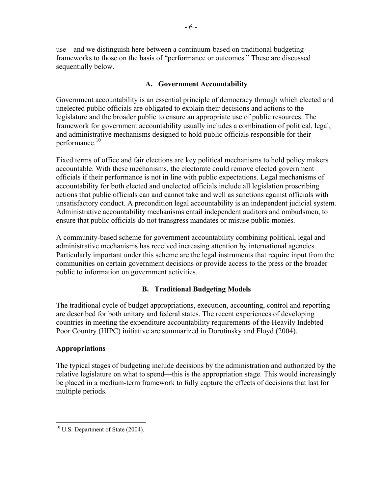use—and we distinguish here between a continuum-based on traditional budgeting frameworks to those on the basis of "performance or outcomes." These are discussed sequentially below.

## **A. Government Accountability**

Government accountability is an essential principle of democracy through which elected and unelected public officials are obligated to explain their decisions and actions to the legislature and the broader public to ensure an appropriate use of public resources. The framework for government accountability usually includes a combination of political, legal, and administrative mechanisms designed to hold public officials responsible for their performance.<sup>10</sup>

Fixed terms of office and fair elections are key political mechanisms to hold policy makers accountable. With these mechanisms, the electorate could remove elected government officials if their performance is not in line with public expectations. Legal mechanisms of accountability for both elected and unelected officials include all legislation proscribing actions that public officials can and cannot take and well as sanctions against officials with unsatisfactory conduct. A precondition legal accountability is an independent judicial system. Administrative accountability mechanisms entail independent auditors and ombudsmen, to ensure that public officials do not transgress mandates or misuse public monies.

A community-based scheme for government accountability combining political, legal and administrative mechanisms has received increasing attention by international agencies. Particularly important under this scheme are the legal instruments that require input from the communities on certain government decisions or provide access to the press or the broader public to information on government activities.

## **B. Traditional Budgeting Models**

The traditional cycle of budget appropriations, execution, accounting, control and reporting are described for both unitary and federal states. The recent experiences of developing countries in meeting the expenditure accountability requirements of the Heavily Indebted Poor Country (HIPC) initiative are summarized in Dorotinsky and Floyd (2004).

## **Appropriations**

The typical stages of budgeting include decisions by the administration and authorized by the relative legislature on what to spend—this is the appropriation stage. This would increasingly be placed in a medium-term framework to fully capture the effects of decisions that last for multiple periods.

<sup>1</sup>  $10$  U.S. Department of State (2004).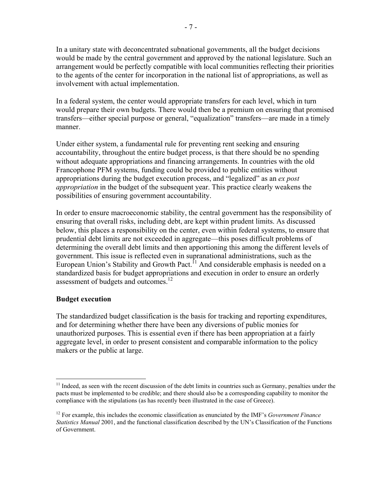In a unitary state with deconcentrated subnational governments, all the budget decisions would be made by the central government and approved by the national legislature. Such an arrangement would be perfectly compatible with local communities reflecting their priorities to the agents of the center for incorporation in the national list of appropriations, as well as involvement with actual implementation.

In a federal system, the center would appropriate transfers for each level, which in turn would prepare their own budgets. There would then be a premium on ensuring that promised transfers—either special purpose or general, "equalization" transfers—are made in a timely manner.

Under either system, a fundamental rule for preventing rent seeking and ensuring accountability, throughout the entire budget process, is that there should be no spending without adequate appropriations and financing arrangements. In countries with the old Francophone PFM systems, funding could be provided to public entities without appropriations during the budget execution process, and "legalized" as an *ex post appropriation* in the budget of the subsequent year. This practice clearly weakens the possibilities of ensuring government accountability.

In order to ensure macroeconomic stability, the central government has the responsibility of ensuring that overall risks, including debt, are kept within prudent limits. As discussed below, this places a responsibility on the center, even within federal systems, to ensure that prudential debt limits are not exceeded in aggregate—this poses difficult problems of determining the overall debt limits and then apportioning this among the different levels of government. This issue is reflected even in supranational administrations, such as the European Union's Stability and Growth Pact.<sup> $11$ </sup> And considerable emphasis is needed on a standardized basis for budget appropriations and execution in order to ensure an orderly assessment of budgets and outcomes.<sup>12</sup>

#### **Budget execution**

<u>.</u>

The standardized budget classification is the basis for tracking and reporting expenditures, and for determining whether there have been any diversions of public monies for unauthorized purposes. This is essential even if there has been appropriation at a fairly aggregate level, in order to present consistent and comparable information to the policy makers or the public at large.

 $11$  Indeed, as seen with the recent discussion of the debt limits in countries such as Germany, penalties under the pacts must be implemented to be credible; and there should also be a corresponding capability to monitor the compliance with the stipulations (as has recently been illustrated in the case of Greece).

<sup>12</sup> For example, this includes the economic classification as enunciated by the IMF's *Government Finance Statistics Manual* 2001, and the functional classification described by the UN's Classification of the Functions of Government.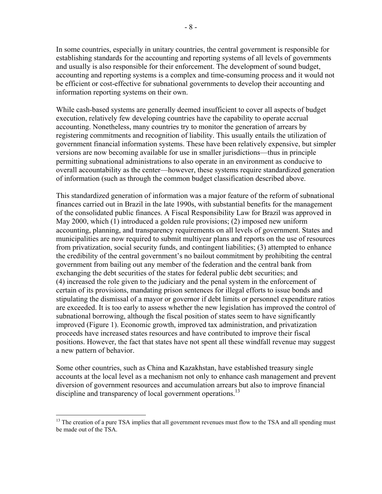In some countries, especially in unitary countries, the central government is responsible for establishing standards for the accounting and reporting systems of all levels of governments and usually is also responsible for their enforcement. The development of sound budget, accounting and reporting systems is a complex and time-consuming process and it would not be efficient or cost-effective for subnational governments to develop their accounting and information reporting systems on their own.

While cash-based systems are generally deemed insufficient to cover all aspects of budget execution, relatively few developing countries have the capability to operate accrual accounting. Nonetheless, many countries try to monitor the generation of arrears by registering commitments and recognition of liability. This usually entails the utilization of government financial information systems. These have been relatively expensive, but simpler versions are now becoming available for use in smaller jurisdictions—thus in principle permitting subnational administrations to also operate in an environment as conducive to overall accountability as the center—however, these systems require standardized generation of information (such as through the common budget classification described above.

This standardized generation of information was a major feature of the reform of subnational finances carried out in Brazil in the late 1990s, with substantial benefits for the management of the consolidated public finances. A Fiscal Responsibility Law for Brazil was approved in May 2000, which (1) introduced a golden rule provisions; (2) imposed new uniform accounting, planning, and transparency requirements on all levels of government. States and municipalities are now required to submit multiyear plans and reports on the use of resources from privatization, social security funds, and contingent liabilities; (3) attempted to enhance the credibility of the central government's no bailout commitment by prohibiting the central government from bailing out any member of the federation and the central bank from exchanging the debt securities of the states for federal public debt securities; and (4) increased the role given to the judiciary and the penal system in the enforcement of certain of its provisions, mandating prison sentences for illegal efforts to issue bonds and stipulating the dismissal of a mayor or governor if debt limits or personnel expenditure ratios are exceeded. It is too early to assess whether the new legislation has improved the control of subnational borrowing, although the fiscal position of states seem to have significantly improved (Figure 1). Economic growth, improved tax administration, and privatization proceeds have increased states resources and have contributed to improve their fiscal positions. However, the fact that states have not spent all these windfall revenue may suggest a new pattern of behavior.

Some other countries, such as China and Kazakhstan, have established treasury single accounts at the local level as a mechanism not only to enhance cash management and prevent diversion of government resources and accumulation arrears but also to improve financial discipline and transparency of local government operations.<sup>13</sup>

1

<sup>&</sup>lt;sup>13</sup> The creation of a pure TSA implies that all government revenues must flow to the TSA and all spending must be made out of the TSA.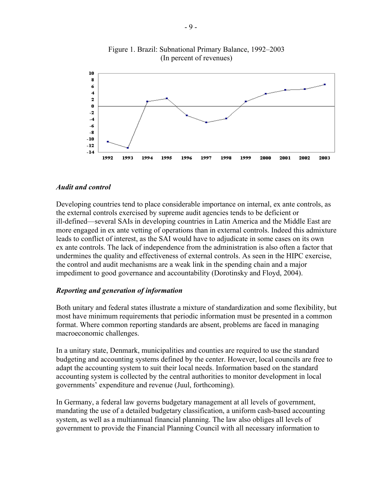

Figure 1. Brazil: Subnational Primary Balance, 1992–2003 (In percent of revenues)

#### *Audit and control*

Developing countries tend to place considerable importance on internal, ex ante controls, as the external controls exercised by supreme audit agencies tends to be deficient or ill-defined—several SAIs in developing countries in Latin America and the Middle East are more engaged in ex ante vetting of operations than in external controls. Indeed this admixture leads to conflict of interest, as the SAI would have to adjudicate in some cases on its own ex ante controls. The lack of independence from the administration is also often a factor that undermines the quality and effectiveness of external controls. As seen in the HIPC exercise, the control and audit mechanisms are a weak link in the spending chain and a major impediment to good governance and accountability (Dorotinsky and Floyd, 2004).

#### *Reporting and generation of information*

Both unitary and federal states illustrate a mixture of standardization and some flexibility, but most have minimum requirements that periodic information must be presented in a common format. Where common reporting standards are absent, problems are faced in managing macroeconomic challenges.

In a unitary state, Denmark, municipalities and counties are required to use the standard budgeting and accounting systems defined by the center. However, local councils are free to adapt the accounting system to suit their local needs. Information based on the standard accounting system is collected by the central authorities to monitor development in local governments' expenditure and revenue (Juul, forthcoming).

In Germany, a federal law governs budgetary management at all levels of government, mandating the use of a detailed budgetary classification, a uniform cash-based accounting system, as well as a multiannual financial planning. The law also obliges all levels of government to provide the Financial Planning Council with all necessary information to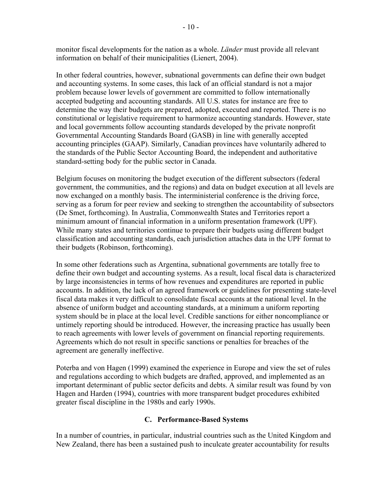monitor fiscal developments for the nation as a whole. *Länder* must provide all relevant information on behalf of their municipalities (Lienert, 2004).

In other federal countries, however, subnational governments can define their own budget and accounting systems. In some cases, this lack of an official standard is not a major problem because lower levels of government are committed to follow internationally accepted budgeting and accounting standards. All U.S. states for instance are free to determine the way their budgets are prepared, adopted, executed and reported. There is no constitutional or legislative requirement to harmonize accounting standards. However, state and local governments follow accounting standards developed by the private nonprofit Governmental Accounting Standards Board (GASB) in line with generally accepted accounting principles (GAAP). Similarly, Canadian provinces have voluntarily adhered to the standards of the Public Sector Accounting Board, the independent and authoritative standard-setting body for the public sector in Canada.

Belgium focuses on monitoring the budget execution of the different subsectors (federal government, the communities, and the regions) and data on budget execution at all levels are now exchanged on a monthly basis. The interministerial conference is the driving force, serving as a forum for peer review and seeking to strengthen the accountability of subsectors (De Smet, forthcoming). In Australia, Commonwealth States and Territories report a minimum amount of financial information in a uniform presentation framework (UPF). While many states and territories continue to prepare their budgets using different budget classification and accounting standards, each jurisdiction attaches data in the UPF format to their budgets (Robinson, forthcoming).

In some other federations such as Argentina, subnational governments are totally free to define their own budget and accounting systems. As a result, local fiscal data is characterized by large inconsistencies in terms of how revenues and expenditures are reported in public accounts. In addition, the lack of an agreed framework or guidelines for presenting state-level fiscal data makes it very difficult to consolidate fiscal accounts at the national level. In the absence of uniform budget and accounting standards, at a minimum a uniform reporting system should be in place at the local level. Credible sanctions for either noncompliance or untimely reporting should be introduced. However, the increasing practice has usually been to reach agreements with lower levels of government on financial reporting requirements. Agreements which do not result in specific sanctions or penalties for breaches of the agreement are generally ineffective.

Poterba and von Hagen (1999) examined the experience in Europe and view the set of rules and regulations according to which budgets are drafted, approved, and implemented as an important determinant of public sector deficits and debts. A similar result was found by von Hagen and Harden (1994), countries with more transparent budget procedures exhibited greater fiscal discipline in the 1980s and early 1990s.

## **C. Performance-Based Systems**

In a number of countries, in particular, industrial countries such as the United Kingdom and New Zealand, there has been a sustained push to inculcate greater accountability for results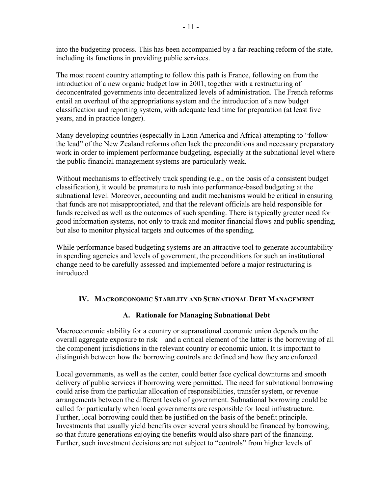into the budgeting process. This has been accompanied by a far-reaching reform of the state, including its functions in providing public services.

The most recent country attempting to follow this path is France, following on from the introduction of a new organic budget law in 2001, together with a restructuring of deconcentrated governments into decentralized levels of administration. The French reforms entail an overhaul of the appropriations system and the introduction of a new budget classification and reporting system, with adequate lead time for preparation (at least five years, and in practice longer).

Many developing countries (especially in Latin America and Africa) attempting to "follow the lead" of the New Zealand reforms often lack the preconditions and necessary preparatory work in order to implement performance budgeting, especially at the subnational level where the public financial management systems are particularly weak.

Without mechanisms to effectively track spending (e.g., on the basis of a consistent budget classification), it would be premature to rush into performance-based budgeting at the subnational level. Moreover, accounting and audit mechanisms would be critical in ensuring that funds are not misappropriated, and that the relevant officials are held responsible for funds received as well as the outcomes of such spending. There is typically greater need for good information systems, not only to track and monitor financial flows and public spending, but also to monitor physical targets and outcomes of the spending.

While performance based budgeting systems are an attractive tool to generate accountability in spending agencies and levels of government, the preconditions for such an institutional change need to be carefully assessed and implemented before a major restructuring is introduced.

## **IV. MACROECONOMIC STABILITY AND SUBNATIONAL DEBT MANAGEMENT**

## **A. Rationale for Managing Subnational Debt**

Macroeconomic stability for a country or supranational economic union depends on the overall aggregate exposure to risk—and a critical element of the latter is the borrowing of all the component jurisdictions in the relevant country or economic union. It is important to distinguish between how the borrowing controls are defined and how they are enforced.

Local governments, as well as the center, could better face cyclical downturns and smooth delivery of public services if borrowing were permitted. The need for subnational borrowing could arise from the particular allocation of responsibilities, transfer system, or revenue arrangements between the different levels of government. Subnational borrowing could be called for particularly when local governments are responsible for local infrastructure. Further, local borrowing could then be justified on the basis of the benefit principle. Investments that usually yield benefits over several years should be financed by borrowing, so that future generations enjoying the benefits would also share part of the financing. Further, such investment decisions are not subject to "controls" from higher levels of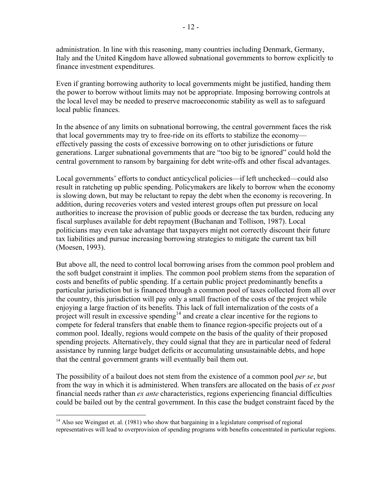administration. In line with this reasoning, many countries including Denmark, Germany, Italy and the United Kingdom have allowed subnational governments to borrow explicitly to finance investment expenditures.

Even if granting borrowing authority to local governments might be justified, handing them the power to borrow without limits may not be appropriate. Imposing borrowing controls at the local level may be needed to preserve macroeconomic stability as well as to safeguard local public finances.

In the absence of any limits on subnational borrowing, the central government faces the risk that local governments may try to free-ride on its efforts to stabilize the economy effectively passing the costs of excessive borrowing on to other jurisdictions or future generations. Larger subnational governments that are "too big to be ignored" could hold the central government to ransom by bargaining for debt write-offs and other fiscal advantages.

Local governments' efforts to conduct anticyclical policies—if left unchecked—could also result in ratcheting up public spending. Policymakers are likely to borrow when the economy is slowing down, but may be reluctant to repay the debt when the economy is recovering. In addition, during recoveries voters and vested interest groups often put pressure on local authorities to increase the provision of public goods or decrease the tax burden, reducing any fiscal surpluses available for debt repayment (Buchanan and Tollison, 1987). Local politicians may even take advantage that taxpayers might not correctly discount their future tax liabilities and pursue increasing borrowing strategies to mitigate the current tax bill (Moesen, 1993).

But above all, the need to control local borrowing arises from the common pool problem and the soft budget constraint it implies. The common pool problem stems from the separation of costs and benefits of public spending. If a certain public project predominantly benefits a particular jurisdiction but is financed through a common pool of taxes collected from all over the country, this jurisdiction will pay only a small fraction of the costs of the project while enjoying a large fraction of its benefits. This lack of full internalization of the costs of a project will result in excessive spending<sup>14</sup> and create a clear incentive for the regions to compete for federal transfers that enable them to finance region-specific projects out of a common pool. Ideally, regions would compete on the basis of the quality of their proposed spending projects. Alternatively, they could signal that they are in particular need of federal assistance by running large budget deficits or accumulating unsustainable debts, and hope that the central government grants will eventually bail them out.

The possibility of a bailout does not stem from the existence of a common pool *per se*, but from the way in which it is administered. When transfers are allocated on the basis of *ex post* financial needs rather than *ex ante* characteristics, regions experiencing financial difficulties could be bailed out by the central government. In this case the budget constraint faced by the

<sup>1</sup>  $14$  Also see Weingast et. al. (1981) who show that bargaining in a legislature comprised of regional representatives will lead to overprovision of spending programs with benefits concentrated in particular regions.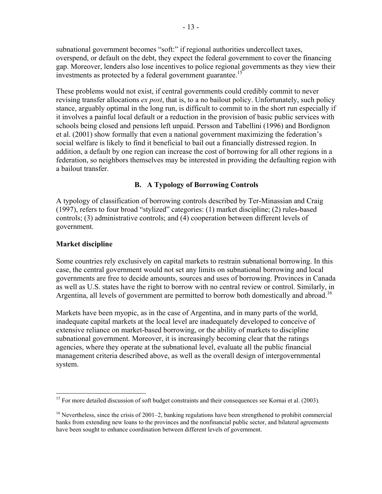subnational government becomes "soft:" if regional authorities undercollect taxes, overspend, or default on the debt, they expect the federal government to cover the financing gap. Moreover, lenders also lose incentives to police regional governments as they view their investments as protected by a federal government guarantee.<sup>15</sup>

These problems would not exist, if central governments could credibly commit to never revising transfer allocations *ex post*, that is, to a no bailout policy. Unfortunately, such policy stance, arguably optimal in the long run, is difficult to commit to in the short run especially if it involves a painful local default or a reduction in the provision of basic public services with schools being closed and pensions left unpaid. Persson and Tabellini (1996) and Bordignon et al. (2001) show formally that even a national government maximizing the federation's social welfare is likely to find it beneficial to bail out a financially distressed region. In addition, a default by one region can increase the cost of borrowing for all other regions in a federation, so neighbors themselves may be interested in providing the defaulting region with a bailout transfer.

## **B. A Typology of Borrowing Controls**

A typology of classification of borrowing controls described by Ter-Minassian and Craig (1997), refers to four broad "stylized" categories: (1) market discipline; (2) rules-based controls; (3) administrative controls; and (4) cooperation between different levels of government.

#### **Market discipline**

Some countries rely exclusively on capital markets to restrain subnational borrowing. In this case, the central government would not set any limits on subnational borrowing and local governments are free to decide amounts, sources and uses of borrowing. Provinces in Canada as well as U.S. states have the right to borrow with no central review or control. Similarly, in Argentina, all levels of government are permitted to borrow both domestically and abroad.<sup>16</sup>

Markets have been myopic, as in the case of Argentina, and in many parts of the world, inadequate capital markets at the local level are inadequately developed to conceive of extensive reliance on market-based borrowing, or the ability of markets to discipline subnational government. Moreover, it is increasingly becoming clear that the ratings agencies, where they operate at the subnational level, evaluate all the public financial management criteria described above, as well as the overall design of intergovernmental system.

<sup>1</sup> <sup>15</sup> For more detailed discussion of soft budget constraints and their consequences see Kornai et al. (2003).

<sup>&</sup>lt;sup>16</sup> Nevertheless, since the crisis of 2001–2, banking regulations have been strengthened to prohibit commercial banks from extending new loans to the provinces and the nonfinancial public sector, and bilateral agreements have been sought to enhance coordination between different levels of government.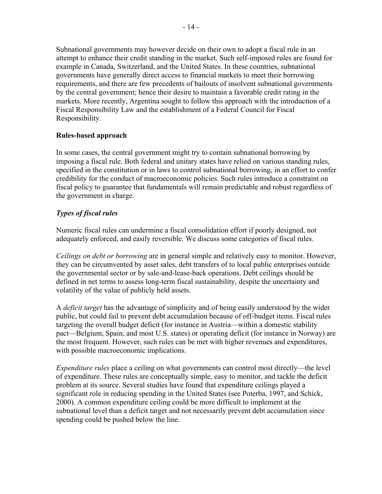Subnational governments may however decide on their own to adopt a fiscal rule in an attempt to enhance their credit standing in the market. Such self-imposed rules are found for example in Canada, Switzerland, and the United States. In these countries, subnational governments have generally direct access to financial markets to meet their borrowing requirements, and there are few precedents of bailouts of insolvent subnational governments by the central government; hence their desire to maintain a favorable credit rating in the markets. More recently, Argentina sought to follow this approach with the introduction of a Fiscal Responsibility Law and the establishment of a Federal Council for Fiscal Responsibility.

## **Rules-based approach**

In some cases, the central government might try to contain subnational borrowing by imposing a fiscal rule. Both federal and unitary states have relied on various standing rules, specified in the constitution or in laws to control subnational borrowing, in an effort to confer credibility for the conduct of macroeconomic policies. Such rules introduce a constraint on fiscal policy to guarantee that fundamentals will remain predictable and robust regardless of the government in charge.

## *Types of fiscal rules*

Numeric fiscal rules can undermine a fiscal consolidation effort if poorly designed, not adequately enforced, and easily reversible. We discuss some categories of fiscal rules.

*Ceilings on debt or borrowing* are in general simple and relatively easy to monitor. However, they can be circumvented by asset sales, debt transfers of to local public enterprises outside the governmental sector or by sale-and-lease-back operations. Debt ceilings should be defined in net terms to assess long-term fiscal sustainability, despite the uncertainty and volatility of the value of publicly held assets.

A *deficit target* has the advantage of simplicity and of being easily understood by the wider public, but could fail to prevent debt accumulation because of off-budget items. Fiscal rules targeting the overall budget deficit (for instance in Austria—within a domestic stability pact—Belgium, Spain, and most U.S. states) or operating deficit (for instance in Norway) are the most frequent. However, such rules can be met with higher revenues and expenditures, with possible macroeconomic implications.

*Expenditure rules* place a ceiling on what governments can control most directly—the level of expenditure. These rules are conceptually simple, easy to monitor, and tackle the deficit problem at its source. Several studies have found that expenditure ceilings played a significant role in reducing spending in the United States (see Poterba, 1997, and Schick, 2000). A common expenditure ceiling could be more difficult to implement at the subnational level than a deficit target and not necessarily prevent debt accumulation since spending could be pushed below the line.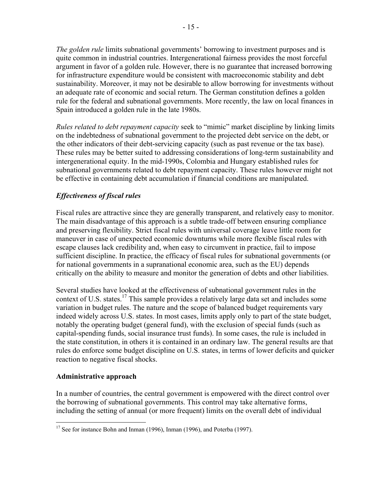*The golden rule* limits subnational governments' borrowing to investment purposes and is quite common in industrial countries. Intergenerational fairness provides the most forceful argument in favor of a golden rule. However, there is no guarantee that increased borrowing for infrastructure expenditure would be consistent with macroeconomic stability and debt sustainability. Moreover, it may not be desirable to allow borrowing for investments without an adequate rate of economic and social return. The German constitution defines a golden rule for the federal and subnational governments. More recently, the law on local finances in Spain introduced a golden rule in the late 1980s.

*Rules related to debt repayment capacity* seek to "mimic" market discipline by linking limits on the indebtedness of subnational government to the projected debt service on the debt, or the other indicators of their debt-servicing capacity (such as past revenue or the tax base). These rules may be better suited to addressing considerations of long-term sustainability and intergenerational equity. In the mid-1990s, Colombia and Hungary established rules for subnational governments related to debt repayment capacity. These rules however might not be effective in containing debt accumulation if financial conditions are manipulated.

## *Effectiveness of fiscal rules*

Fiscal rules are attractive since they are generally transparent, and relatively easy to monitor. The main disadvantage of this approach is a subtle trade-off between ensuring compliance and preserving flexibility. Strict fiscal rules with universal coverage leave little room for maneuver in case of unexpected economic downturns while more flexible fiscal rules with escape clauses lack credibility and, when easy to circumvent in practice, fail to impose sufficient discipline. In practice, the efficacy of fiscal rules for subnational governments (or for national governments in a supranational economic area, such as the EU) depends critically on the ability to measure and monitor the generation of debts and other liabilities.

Several studies have looked at the effectiveness of subnational government rules in the context of U.S. states.<sup>17</sup> This sample provides a relatively large data set and includes some variation in budget rules. The nature and the scope of balanced budget requirements vary indeed widely across U.S. states. In most cases, limits apply only to part of the state budget, notably the operating budget (general fund), with the exclusion of special funds (such as capital-spending funds, social insurance trust funds). In some cases, the rule is included in the state constitution, in others it is contained in an ordinary law. The general results are that rules do enforce some budget discipline on U.S. states, in terms of lower deficits and quicker reaction to negative fiscal shocks.

#### **Administrative approach**

In a number of countries, the central government is empowered with the direct control over the borrowing of subnational governments. This control may take alternative forms, including the setting of annual (or more frequent) limits on the overall debt of individual

<sup>1</sup>  $17$  See for instance Bohn and Inman (1996), Inman (1996), and Poterba (1997).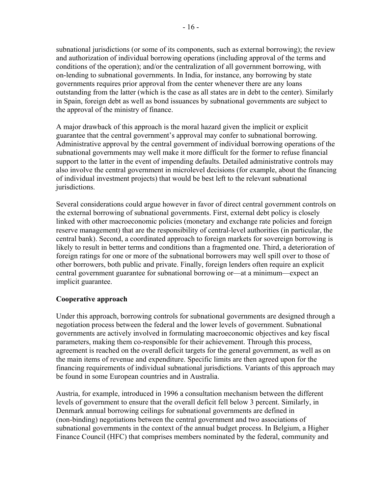subnational jurisdictions (or some of its components, such as external borrowing); the review and authorization of individual borrowing operations (including approval of the terms and conditions of the operation); and/or the centralization of all government borrowing, with on-lending to subnational governments. In India, for instance, any borrowing by state governments requires prior approval from the center whenever there are any loans outstanding from the latter (which is the case as all states are in debt to the center). Similarly in Spain, foreign debt as well as bond issuances by subnational governments are subject to the approval of the ministry of finance.

A major drawback of this approach is the moral hazard given the implicit or explicit guarantee that the central government's approval may confer to subnational borrowing. Administrative approval by the central government of individual borrowing operations of the subnational governments may well make it more difficult for the former to refuse financial support to the latter in the event of impending defaults. Detailed administrative controls may also involve the central government in microlevel decisions (for example, about the financing of individual investment projects) that would be best left to the relevant subnational jurisdictions.

Several considerations could argue however in favor of direct central government controls on the external borrowing of subnational governments. First, external debt policy is closely linked with other macroeconomic policies (monetary and exchange rate policies and foreign reserve management) that are the responsibility of central-level authorities (in particular, the central bank). Second, a coordinated approach to foreign markets for sovereign borrowing is likely to result in better terms and conditions than a fragmented one. Third, a deterioration of foreign ratings for one or more of the subnational borrowers may well spill over to those of other borrowers, both public and private. Finally, foreign lenders often require an explicit central government guarantee for subnational borrowing or—at a minimum—expect an implicit guarantee.

## **Cooperative approach**

Under this approach, borrowing controls for subnational governments are designed through a negotiation process between the federal and the lower levels of government. Subnational governments are actively involved in formulating macroeconomic objectives and key fiscal parameters, making them co-responsible for their achievement. Through this process, agreement is reached on the overall deficit targets for the general government, as well as on the main items of revenue and expenditure. Specific limits are then agreed upon for the financing requirements of individual subnational jurisdictions. Variants of this approach may be found in some European countries and in Australia.

Austria, for example, introduced in 1996 a consultation mechanism between the different levels of government to ensure that the overall deficit fell below 3 percent. Similarly, in Denmark annual borrowing ceilings for subnational governments are defined in (non-binding) negotiations between the central government and two associations of subnational governments in the context of the annual budget process. In Belgium, a Higher Finance Council (HFC) that comprises members nominated by the federal, community and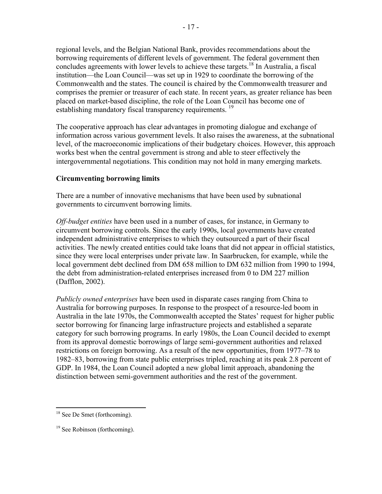regional levels, and the Belgian National Bank, provides recommendations about the borrowing requirements of different levels of government. The federal government then concludes agreements with lower levels to achieve these targets.<sup>18</sup> In Australia, a fiscal institution—the Loan Council—was set up in 1929 to coordinate the borrowing of the Commonwealth and the states. The council is chaired by the Commonwealth treasurer and comprises the premier or treasurer of each state. In recent years, as greater reliance has been placed on market-based discipline, the role of the Loan Council has become one of establishing mandatory fiscal transparency requirements. <sup>19</sup>

The cooperative approach has clear advantages in promoting dialogue and exchange of information across various government levels. It also raises the awareness, at the subnational level, of the macroeconomic implications of their budgetary choices. However, this approach works best when the central government is strong and able to steer effectively the intergovernmental negotiations. This condition may not hold in many emerging markets.

## **Circumventing borrowing limits**

There are a number of innovative mechanisms that have been used by subnational governments to circumvent borrowing limits.

*Off-budget entities* have been used in a number of cases, for instance, in Germany to circumvent borrowing controls. Since the early 1990s, local governments have created independent administrative enterprises to which they outsourced a part of their fiscal activities. The newly created entities could take loans that did not appear in official statistics, since they were local enterprises under private law. In Saarbrucken, for example, while the local government debt declined from DM 658 million to DM 632 million from 1990 to 1994, the debt from administration-related enterprises increased from 0 to DM 227 million (Dafflon, 2002).

*Publicly owned enterprises* have been used in disparate cases ranging from China to Australia for borrowing purposes. In response to the prospect of a resource-led boom in Australia in the late 1970s, the Commonwealth accepted the States' request for higher public sector borrowing for financing large infrastructure projects and established a separate category for such borrowing programs. In early 1980s, the Loan Council decided to exempt from its approval domestic borrowings of large semi-government authorities and relaxed restrictions on foreign borrowing. As a result of the new opportunities, from 1977–78 to 1982–83, borrowing from state public enterprises tripled, reaching at its peak 2.8 percent of GDP. In 1984, the Loan Council adopted a new global limit approach, abandoning the distinction between semi-government authorities and the rest of the government.

<sup>1</sup> <sup>18</sup> See De Smet (forthcoming).

<sup>&</sup>lt;sup>19</sup> See Robinson (forthcoming).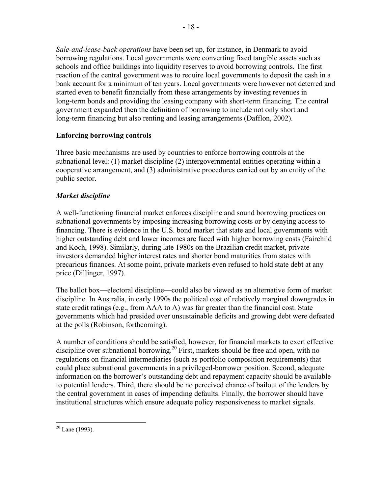*Sale-and-lease-back operations* have been set up, for instance, in Denmark to avoid borrowing regulations. Local governments were converting fixed tangible assets such as schools and office buildings into liquidity reserves to avoid borrowing controls. The first reaction of the central government was to require local governments to deposit the cash in a bank account for a minimum of ten years. Local governments were however not deterred and started even to benefit financially from these arrangements by investing revenues in long-term bonds and providing the leasing company with short-term financing. The central government expanded then the definition of borrowing to include not only short and long-term financing but also renting and leasing arrangements (Dafflon, 2002).

- 18 -

## **Enforcing borrowing controls**

Three basic mechanisms are used by countries to enforce borrowing controls at the subnational level: (1) market discipline (2) intergovernmental entities operating within a cooperative arrangement, and (3) administrative procedures carried out by an entity of the public sector.

## *Market discipline*

A well-functioning financial market enforces discipline and sound borrowing practices on subnational governments by imposing increasing borrowing costs or by denying access to financing. There is evidence in the U.S. bond market that state and local governments with higher outstanding debt and lower incomes are faced with higher borrowing costs (Fairchild and Koch, 1998). Similarly, during late 1980s on the Brazilian credit market, private investors demanded higher interest rates and shorter bond maturities from states with precarious finances. At some point, private markets even refused to hold state debt at any price (Dillinger, 1997).

The ballot box—electoral discipline—could also be viewed as an alternative form of market discipline. In Australia, in early 1990s the political cost of relatively marginal downgrades in state credit ratings (e.g., from AAA to A) was far greater than the financial cost. State governments which had presided over unsustainable deficits and growing debt were defeated at the polls (Robinson, forthcoming).

A number of conditions should be satisfied, however, for financial markets to exert effective discipline over subnational borrowing.<sup>20</sup> First, markets should be free and open, with no regulations on financial intermediaries (such as portfolio composition requirements) that could place subnational governments in a privileged-borrower position. Second, adequate information on the borrower's outstanding debt and repayment capacity should be available to potential lenders. Third, there should be no perceived chance of bailout of the lenders by the central government in cases of impending defaults. Finally, the borrower should have institutional structures which ensure adequate policy responsiveness to market signals.

<sup>1</sup>  $20$  Lane (1993).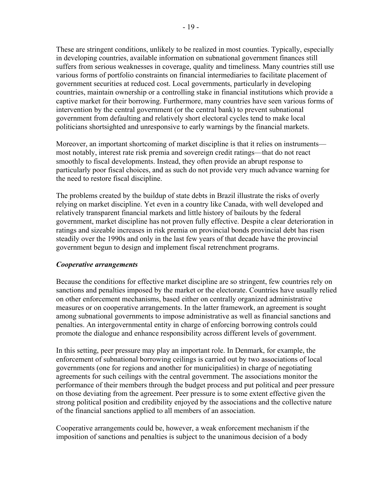These are stringent conditions, unlikely to be realized in most counties. Typically, especially in developing countries, available information on subnational government finances still suffers from serious weaknesses in coverage, quality and timeliness. Many countries still use various forms of portfolio constraints on financial intermediaries to facilitate placement of government securities at reduced cost. Local governments, particularly in developing countries, maintain ownership or a controlling stake in financial institutions which provide a captive market for their borrowing. Furthermore, many countries have seen various forms of intervention by the central government (or the central bank) to prevent subnational government from defaulting and relatively short electoral cycles tend to make local politicians shortsighted and unresponsive to early warnings by the financial markets.

Moreover, an important shortcoming of market discipline is that it relies on instruments most notably, interest rate risk premia and sovereign credit ratings—that do not react smoothly to fiscal developments. Instead, they often provide an abrupt response to particularly poor fiscal choices, and as such do not provide very much advance warning for the need to restore fiscal discipline.

The problems created by the buildup of state debts in Brazil illustrate the risks of overly relying on market discipline. Yet even in a country like Canada, with well developed and relatively transparent financial markets and little history of bailouts by the federal government, market discipline has not proven fully effective. Despite a clear deterioration in ratings and sizeable increases in risk premia on provincial bonds provincial debt has risen steadily over the 1990s and only in the last few years of that decade have the provincial government begun to design and implement fiscal retrenchment programs.

#### *Cooperative arrangements*

Because the conditions for effective market discipline are so stringent, few countries rely on sanctions and penalties imposed by the market or the electorate. Countries have usually relied on other enforcement mechanisms, based either on centrally organized administrative measures or on cooperative arrangements. In the latter framework, an agreement is sought among subnational governments to impose administrative as well as financial sanctions and penalties. An intergovernmental entity in charge of enforcing borrowing controls could promote the dialogue and enhance responsibility across different levels of government.

In this setting, peer pressure may play an important role. In Denmark, for example, the enforcement of subnational borrowing ceilings is carried out by two associations of local governments (one for regions and another for municipalities) in charge of negotiating agreements for such ceilings with the central government. The associations monitor the performance of their members through the budget process and put political and peer pressure on those deviating from the agreement. Peer pressure is to some extent effective given the strong political position and credibility enjoyed by the associations and the collective nature of the financial sanctions applied to all members of an association.

Cooperative arrangements could be, however, a weak enforcement mechanism if the imposition of sanctions and penalties is subject to the unanimous decision of a body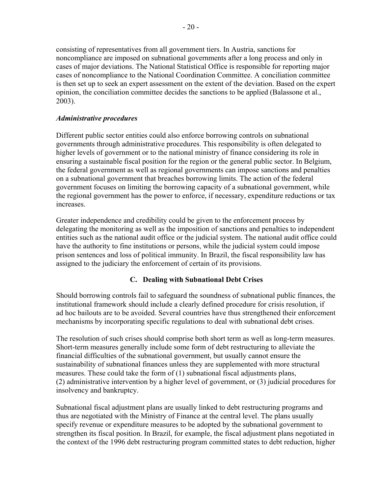consisting of representatives from all government tiers. In Austria, sanctions for noncompliance are imposed on subnational governments after a long process and only in cases of major deviations. The National Statistical Office is responsible for reporting major cases of noncompliance to the National Coordination Committee. A conciliation committee is then set up to seek an expert assessment on the extent of the deviation. Based on the expert opinion, the conciliation committee decides the sanctions to be applied (Balassone et al., 2003).

#### *Administrative procedures*

Different public sector entities could also enforce borrowing controls on subnational governments through administrative procedures. This responsibility is often delegated to higher levels of government or to the national ministry of finance considering its role in ensuring a sustainable fiscal position for the region or the general public sector. In Belgium, the federal government as well as regional governments can impose sanctions and penalties on a subnational government that breaches borrowing limits. The action of the federal government focuses on limiting the borrowing capacity of a subnational government, while the regional government has the power to enforce, if necessary, expenditure reductions or tax increases.

Greater independence and credibility could be given to the enforcement process by delegating the monitoring as well as the imposition of sanctions and penalties to independent entities such as the national audit office or the judicial system. The national audit office could have the authority to fine institutions or persons, while the judicial system could impose prison sentences and loss of political immunity. In Brazil, the fiscal responsibility law has assigned to the judiciary the enforcement of certain of its provisions.

## **C. Dealing with Subnational Debt Crises**

Should borrowing controls fail to safeguard the soundness of subnational public finances, the institutional framework should include a clearly defined procedure for crisis resolution, if ad hoc bailouts are to be avoided. Several countries have thus strengthened their enforcement mechanisms by incorporating specific regulations to deal with subnational debt crises.

The resolution of such crises should comprise both short term as well as long-term measures. Short-term measures generally include some form of debt restructuring to alleviate the financial difficulties of the subnational government, but usually cannot ensure the sustainability of subnational finances unless they are supplemented with more structural measures. These could take the form of (1) subnational fiscal adjustments plans, (2) administrative intervention by a higher level of government, or (3) judicial procedures for insolvency and bankruptcy.

Subnational fiscal adjustment plans are usually linked to debt restructuring programs and thus are negotiated with the Ministry of Finance at the central level. The plans usually specify revenue or expenditure measures to be adopted by the subnational government to strengthen its fiscal position. In Brazil, for example, the fiscal adjustment plans negotiated in the context of the 1996 debt restructuring program committed states to debt reduction, higher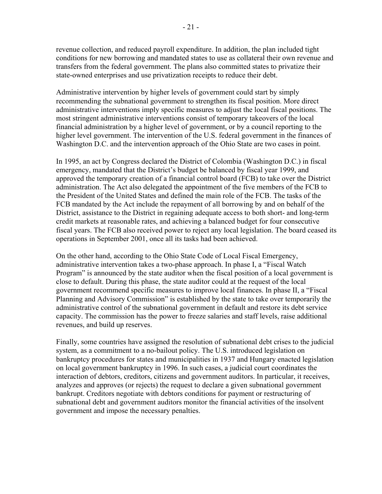revenue collection, and reduced payroll expenditure. In addition, the plan included tight conditions for new borrowing and mandated states to use as collateral their own revenue and transfers from the federal government. The plans also committed states to privatize their state-owned enterprises and use privatization receipts to reduce their debt.

Administrative intervention by higher levels of government could start by simply recommending the subnational government to strengthen its fiscal position. More direct administrative interventions imply specific measures to adjust the local fiscal positions. The most stringent administrative interventions consist of temporary takeovers of the local financial administration by a higher level of government, or by a council reporting to the higher level government. The intervention of the U.S. federal government in the finances of Washington D.C. and the intervention approach of the Ohio State are two cases in point.

In 1995, an act by Congress declared the District of Colombia (Washington D.C.) in fiscal emergency, mandated that the District's budget be balanced by fiscal year 1999, and approved the temporary creation of a financial control board (FCB) to take over the District administration. The Act also delegated the appointment of the five members of the FCB to the President of the United States and defined the main role of the FCB. The tasks of the FCB mandated by the Act include the repayment of all borrowing by and on behalf of the District, assistance to the District in regaining adequate access to both short- and long-term credit markets at reasonable rates, and achieving a balanced budget for four consecutive fiscal years. The FCB also received power to reject any local legislation. The board ceased its operations in September 2001, once all its tasks had been achieved.

On the other hand, according to the Ohio State Code of Local Fiscal Emergency, administrative intervention takes a two-phase approach. In phase I, a "Fiscal Watch Program" is announced by the state auditor when the fiscal position of a local government is close to default. During this phase, the state auditor could at the request of the local government recommend specific measures to improve local finances. In phase II, a "Fiscal Planning and Advisory Commission" is established by the state to take over temporarily the administrative control of the subnational government in default and restore its debt service capacity. The commission has the power to freeze salaries and staff levels, raise additional revenues, and build up reserves.

Finally, some countries have assigned the resolution of subnational debt crises to the judicial system, as a commitment to a no-bailout policy. The U.S. introduced legislation on bankruptcy procedures for states and municipalities in 1937 and Hungary enacted legislation on local government bankruptcy in 1996. In such cases, a judicial court coordinates the interaction of debtors, creditors, citizens and government auditors. In particular, it receives, analyzes and approves (or rejects) the request to declare a given subnational government bankrupt. Creditors negotiate with debtors conditions for payment or restructuring of subnational debt and government auditors monitor the financial activities of the insolvent government and impose the necessary penalties.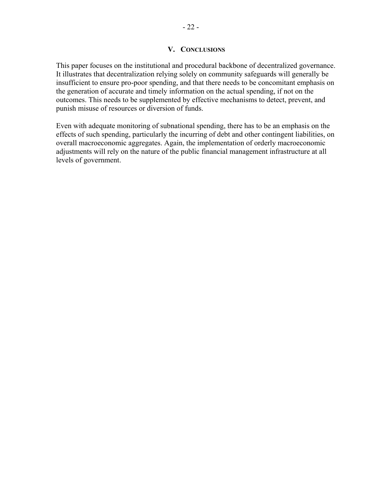#### **V. CONCLUSIONS**

This paper focuses on the institutional and procedural backbone of decentralized governance. It illustrates that decentralization relying solely on community safeguards will generally be insufficient to ensure pro-poor spending, and that there needs to be concomitant emphasis on the generation of accurate and timely information on the actual spending, if not on the outcomes. This needs to be supplemented by effective mechanisms to detect, prevent, and punish misuse of resources or diversion of funds.

Even with adequate monitoring of subnational spending, there has to be an emphasis on the effects of such spending, particularly the incurring of debt and other contingent liabilities, on overall macroeconomic aggregates. Again, the implementation of orderly macroeconomic adjustments will rely on the nature of the public financial management infrastructure at all levels of government.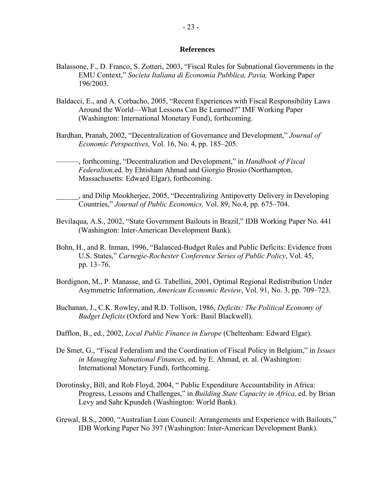#### **References**

- Balassone, F., D. Franco, S. Zotteri, 2003, "Fiscal Rules for Subnational Governments in the EMU Context," *Societa Italiana di Economia Pubblica, Pavia,* Working Paper 196/2003.
- Baldacci, E., and A. Corbacho, 2005, "Recent Experiences with Fiscal Responsibility Laws Around the World—What Lessons Can Be Learned?" IMF Working Paper (Washington: International Monetary Fund), forthcoming.
- Bardhan, Pranab, 2002, "Decentralization of Governance and Development," *Journal of Economic Perspectives,* Vol. 16, No. 4, pp. 185–205.
- ———, forthcoming, "Decentralization and Development," in *Handbook of Fiscal Federalism,*ed. by Ehtisham Ahmad and Giorgio Brosio (Northampton, Massachusetts: Edward Elgar), forthcoming.
- \_\_\_\_\_\_, and Dilip Mookherjee, 2005, "Decentralizing Antipoverty Delivery in Developing Countries," *Journal of Public Economics,* Vol. 89, No.4, pp. 675–704.
- Bevilaqua, A.S., 2002, "State Government Bailouts in Brazil," IDB Working Paper No. 441 (Washington: Inter-American Development Bank).
- Bohn, H., and R. Inman, 1996, "Balanced-Budget Rules and Public Deficits: Evidence from U.S. States," *Carnegie-Rochester Conference Series of Public Policy*, Vol. 45, pp. 13–76.
- Bordignon, M., P. Manasse, and G. Tabellini, 2001, Optimal Regional Redistribution Under Asymmetric Information, *American Economic Review*, Vol. 91, No. 3, pp. 709–723.
- Buchanan, J., C.K. Rowley, and R.D. Tollison, 1986, *Deficits: The Political Economy of Budget Deficits* (Oxford and New York: Basil Blackwell).
- Dafflon, B., ed., 2002, *Local Public Finance in Europe* (Cheltenham: Edward Elgar).
- De Smet, G., "Fiscal Federalism and the Coordination of Fiscal Policy in Belgium," in *Issues in Managing Subnational Finances,* ed. by E. Ahmad, et. al. (Washington: International Monetary Fund), forthcoming.
- Dorotinsky, Bill, and Rob Floyd, 2004, " Public Expenditure Accountability in Africa: Progress, Lessons and Challenges," in *Building State Capacity in Africa,* ed. by Brian Levy and Sahr Kpundeh (Washington: World Bank).
- Grewal, B.S., 2000, "Australian Loan Council: Arrangements and Experience with Bailouts," IDB Working Paper No 397 (Washington: Inter-American Development Bank).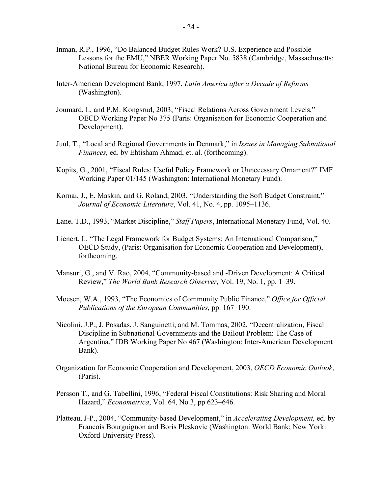- Inman, R.P., 1996, "Do Balanced Budget Rules Work? U.S. Experience and Possible Lessons for the EMU," NBER Working Paper No. 5838 (Cambridge, Massachusetts: National Bureau for Economic Research).
- Inter-American Development Bank, 1997, *Latin America after a Decade of Reforms* (Washington).
- Joumard, I., and P.M. Kongsrud, 2003, "Fiscal Relations Across Government Levels," OECD Working Paper No 375 (Paris: Organisation for Economic Cooperation and Development).
- Juul, T., "Local and Regional Governments in Denmark," in *Issues in Managing Subnational Finances,* ed. by Ehtisham Ahmad, et. al. (forthcoming).
- Kopits, G., 2001, "Fiscal Rules: Useful Policy Framework or Unnecessary Ornament?" IMF Working Paper 01/145 (Washington: International Monetary Fund).
- Kornai, J., E. Maskin, and G. Roland, 2003, "Understanding the Soft Budget Constraint," *Journal of Economic Literature*, Vol. 41, No. 4, pp. 1095–1136.
- Lane, T.D., 1993, "Market Discipline," *Staff Papers*, International Monetary Fund, Vol. 40.
- Lienert, I., "The Legal Framework for Budget Systems: An International Comparison," OECD Study, (Paris: Organisation for Economic Cooperation and Development), forthcoming.
- Mansuri, G., and V. Rao, 2004, "Community-based and -Driven Development: A Critical Review," *The World Bank Research Observer,* Vol. 19, No. 1, pp. 1–39.
- Moesen, W.A., 1993, "The Economics of Community Public Finance," *Office for Official Publications of the European Communities,* pp. 167–190.
- Nicolini, J.P., J. Posadas, J. Sanguinetti, and M. Tommas, 2002, "Decentralization, Fiscal Discipline in Subnational Governments and the Bailout Problem: The Case of Argentina," IDB Working Paper No 467 (Washington: Inter-American Development Bank).
- Organization for Economic Cooperation and Development, 2003, *OECD Economic Outlook*, (Paris).
- Persson T., and G. Tabellini, 1996, "Federal Fiscal Constitutions: Risk Sharing and Moral Hazard," *Econometrica*, Vol. 64, No 3, pp 623–646.
- Platteau, J-P., 2004, "Community-based Development," in *Accelerating Development,* ed. by Francois Bourguignon and Boris Pleskovic (Washington: World Bank; New York: Oxford University Press).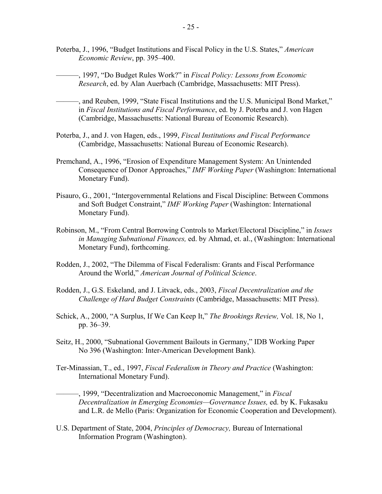- Poterba, J., 1996, "Budget Institutions and Fiscal Policy in the U.S. States," *American Economic Review*, pp. 395–400.
	- ———, 1997, "Do Budget Rules Work?" in *Fiscal Policy: Lessons from Economic Research*, ed. by Alan Auerbach (Cambridge, Massachusetts: MIT Press).
- ——, and Reuben, 1999, "State Fiscal Institutions and the U.S. Municipal Bond Market," in *Fiscal Institutions and Fiscal Performance*, ed. by J. Poterba and J. von Hagen (Cambridge, Massachusetts: National Bureau of Economic Research).
- Poterba, J., and J. von Hagen, eds., 1999, *Fiscal Institutions and Fiscal Performance* (Cambridge, Massachusetts: National Bureau of Economic Research).
- Premchand, A., 1996, "Erosion of Expenditure Management System: An Unintended Consequence of Donor Approaches," *IMF Working Paper* (Washington: International Monetary Fund).
- Pisauro, G., 2001, "Intergovernmental Relations and Fiscal Discipline: Between Commons and Soft Budget Constraint," *IMF Working Paper* (Washington: International Monetary Fund).
- Robinson, M., "From Central Borrowing Controls to Market/Electoral Discipline," in *Issues in Managing Subnational Finances,* ed. by Ahmad, et. al., (Washington: International Monetary Fund), forthcoming.
- Rodden, J., 2002, "The Dilemma of Fiscal Federalism: Grants and Fiscal Performance Around the World," *American Journal of Political Science*.
- Rodden, J., G.S. Eskeland, and J. Litvack, eds., 2003, *Fiscal Decentralization and the Challenge of Hard Budget Constraints* (Cambridge, Massachusetts: MIT Press).
- Schick, A., 2000, "A Surplus, If We Can Keep It," *The Brookings Review,* Vol. 18, No 1, pp. 36–39.
- Seitz, H., 2000, "Subnational Government Bailouts in Germany," IDB Working Paper No 396 (Washington: Inter-American Development Bank).
- Ter-Minassian, T., ed., 1997, *Fiscal Federalism in Theory and Practice* (Washington: International Monetary Fund).
- ———, 1999, "Decentralization and Macroeconomic Management," in *Fiscal Decentralization in Emerging Economies—Governance Issues,* ed. by K. Fukasaku and L.R. de Mello (Paris: Organization for Economic Cooperation and Development).
- U.S. Department of State, 2004, *Principles of Democracy,* Bureau of International Information Program (Washington).